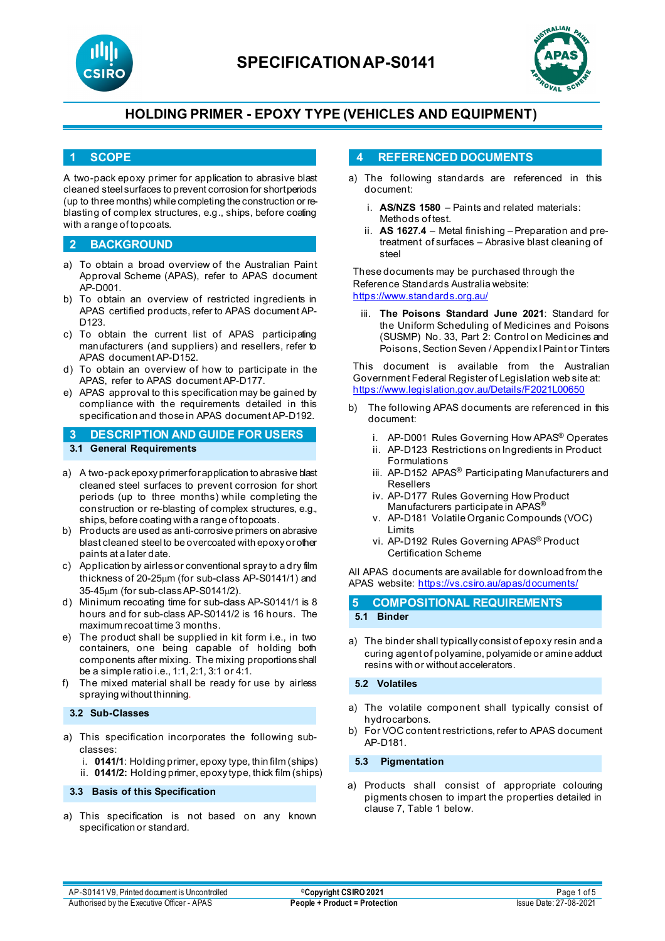



#### **1 SCOPE**

A two-pack epoxy primer for application to abrasive blast cleaned steel surfaces to prevent corrosion for short periods (up to three months) while completing the construction or reblasting of complex structures, e.g., ships, before coating with a range of topcoats.

### **2 BACKGROUND**

- a) To obtain a broad overview of the Australian Paint Approval Scheme (APAS), refer to APAS document AP-D001.
- b) To obtain an overview of restricted ingredients in APAS certified products, refer to APAS document AP-D<sub>123</sub>
- c) To obtain the current list of APAS participating manufacturers (and suppliers) and resellers, refer to APAS document AP-D152.
- d) To obtain an overview of how to participate in the APAS, refer to APAS document AP-D177.
- e) APAS approval to this specification may be gained by compliance with the requirements detailed in this specification and those in APAS document AP-D192.
- **3 DESCRIPTION AND GUIDE FOR USERS 3.1 General Requirements**
- a) A two-pack epoxy primer for application to abrasive blast cleaned steel surfaces to prevent corrosion for short periods (up to three months) while completing the construction or re-blasting of complex structures, e.g., ships, before coating with a range of topcoats.
- b) Products are used as anti-corrosive primers on abrasive blast cleaned steel to be overcoated with epoxy or other paints at a later date.
- c) Application by airless or conventional spray to a dry film thickness of 20-25µm (for sub-class AP-S0141/1) and 35-45µm (for sub-class AP-S0141/2).
- d) Minimum recoating time for sub-class AP-S0141/1 is 8 hours and for sub-class AP-S0141/2 is 16 hours. The maximum recoat time 3 months.
- e) The product shall be supplied in kit form i.e., in two containers, one being capable of holding both components after mixing. The mixing proportions shall be a simple ratio i.e., 1:1, 2:1, 3:1 or 4:1.
- f) The mixed material shall be ready for use by airless spraying without thinning.

**3.2 Sub-Classes**

- a) This specification incorporates the following subclasses:
	- i. **0141/1**: Holding primer, epoxy type, thin film (ships)
	- ii. **0141/2:** Holding primer, epoxy type, thick film (ships)

#### **3.3 Basis of this Specification**

a) This specification is not based on any known specification or standard.

#### **4 REFERENCED DOCUMENTS**

- a) The following standards are referenced in this document:
	- i. **AS/NZS 1580** Paints and related materials: Methods of test.
	- ii. **AS 1627.4** Metal finishing Preparation and pretreatment of surfaces – Abrasive blast cleaning of steel

These documents may be purchased through the Reference Standards Australia website: <https://www.standards.org.au/>

iii. **The Poisons Standard June 2021**: Standard for the Uniform Scheduling of Medicines and Poisons (SUSMP) No. 33, Part 2: Control on Medicines and Poisons, Section Seven / Appendix I Paint or Tinters

This document is available from the Australian Government Federal Register of Legislation web site at: <https://www.legislation.gov.au/Details/F2021L00650>

- b) The following APAS documents are referenced in this document:
	- i. AP-D001 Rules Governing How APAS® Operates
	- ii. AP-D123 Restrictions on Ingredients in Product Formulations
	- iii. AP-D152 APAS<sup>®</sup> Participating Manufacturers and Resellers
	- iv. AP-D177 Rules Governing How Product Manufacturers participate in APAS®
	- v. AP-D181 Volatile Organic Compounds (VOC) Limits
	- vi. AP-D192 Rules Governing APAS® Product Certification Scheme

All APAS documents are available for download from the APAS website: <https://vs.csiro.au/apas/documents/>

### **5 COMPOSITIONAL REQUIREMENTS 5.1 Binder**

a) The binder shall typically consist of epoxy resin and a curing agent of polyamine, polyamide or amine adduct resins with or without accelerators.

#### **5.2 Volatiles**

- a) The volatile component shall typically consist of hydrocarbons.
- b) For VOC content restrictions, refer to APAS document AP-D181.

**5.3 Pigmentation**

a) Products shall consist of appropriate colouring pigments chosen to impart the properties detailed in clause 7, Table 1 below.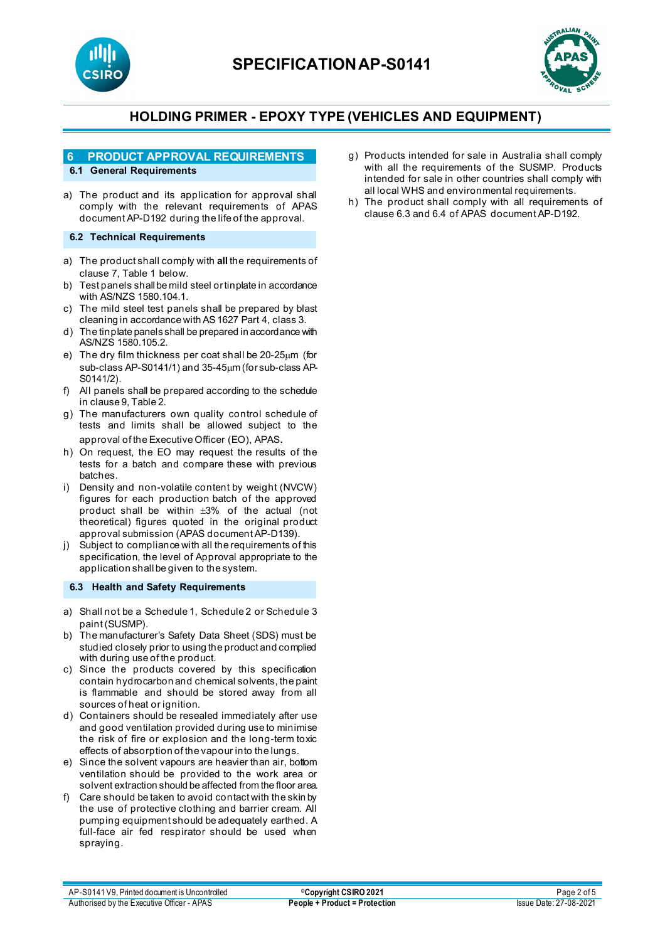



### **6 PRODUCT APPROVAL REQUIREMENTS**

### **6.1 General Requirements**

a) The product and its application for approval shall comply with the relevant requirements of APAS document AP-D192 during the life of the approval.

#### **6.2 Technical Requirements**

- a) The product shall comply with **all** the requirements of clause 7, Table 1 below.
- b) Test panels shall be mild steel or tinplate in accordance with AS/NZS 1580.104.1.
- c) The mild steel test panels shall be prepared by blast cleaning in accordance with AS 1627 Part 4, class 3.
- d) The tinplate panels shall be prepared in accordance with AS/NZS 1580.105.2.
- e) The dry film thickness per coat shall be 20-25µm (for sub-class AP-S0141/1) and 35-45µm (for sub-class AP-S0141/2).
- f) All panels shall be prepared according to the schedule in clause 9, Table 2.
- g) The manufacturers own quality control schedule of tests and limits shall be allowed subject to the approval of the Executive Officer (EO), APAS.
- h) On request, the EO may request the results of the tests for a batch and compare these with previous batches.
- i) Density and non-volatile content by weight (NVCW) figures for each production batch of the approved product shall be within ±3% of the actual (not theoretical) figures quoted in the original product approval submission (APAS document AP-D139).
- j) Subject to compliance with all the requirements of this specification, the level of Approval appropriate to the application shall be given to the system.

#### **6.3 Health and Safety Requirements**

- a) Shall not be a Schedule 1, Schedule 2 or Schedule 3 paint (SUSMP).
- b) The manufacturer's Safety Data Sheet (SDS) must be studied closely prior to using the product and complied with during use of the product.
- c) Since the products covered by this specification contain hydrocarbon and chemical solvents, the paint is flammable and should be stored away from all sources of heat or ignition.
- d) Containers should be resealed immediately after use and good ventilation provided during use to minimise the risk of fire or explosion and the long-term toxic effects of absorption of the vapour into the lungs.
- e) Since the solvent vapours are heavier than air, bottom ventilation should be provided to the work area or solvent extraction should be affected from the floor area.
- f) Care should be taken to avoid contact with the skin by the use of protective clothing and barrier cream. All pumping equipment should be adequately earthed. A full-face air fed respirator should be used when spraying.
- g) Products intended for sale in Australia shall comply with all the requirements of the SUSMP. Products intended for sale in other countries shall comply with all local WHS and environmental requirements.
- h) The product shall comply with all requirements of clause 6.3 and 6.4 of APAS document AP-D192.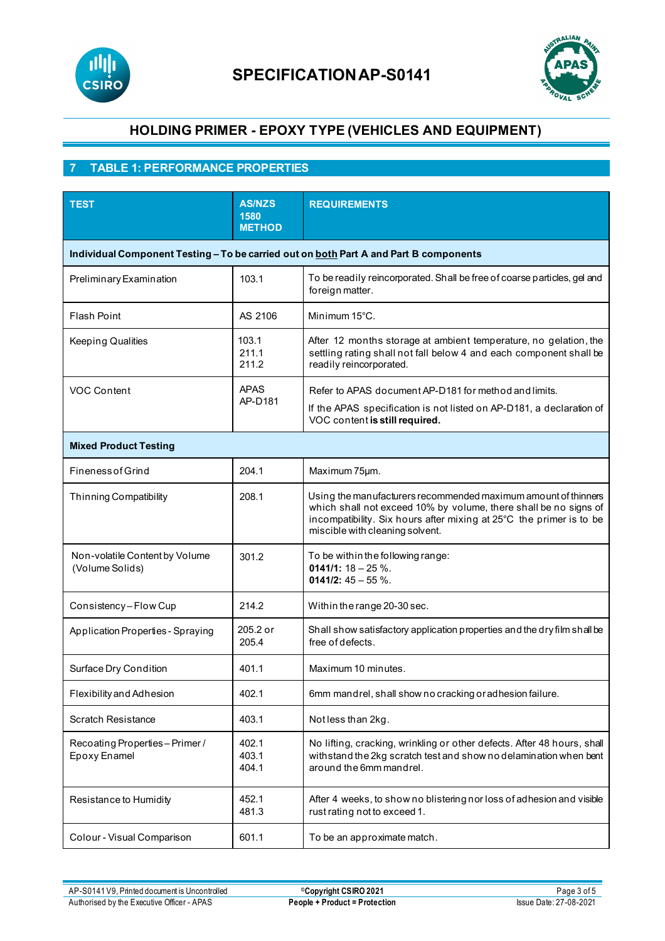



# **7 TABLE 1: PERFORMANCE PROPERTIES**

| <b>TEST</b>                                                                           | <b>AS/NZS</b><br>1580<br><b>METHOD</b> | <b>REQUIREMENTS</b>                                                                                                                                                                                                                          |  |  |  |  |
|---------------------------------------------------------------------------------------|----------------------------------------|----------------------------------------------------------------------------------------------------------------------------------------------------------------------------------------------------------------------------------------------|--|--|--|--|
| Individual Component Testing - To be carried out on both Part A and Part B components |                                        |                                                                                                                                                                                                                                              |  |  |  |  |
| Preliminary Examination                                                               | 103.1                                  | To be readily reincorporated. Shall be free of coarse particles, gel and<br>foreign matter.                                                                                                                                                  |  |  |  |  |
| <b>Flash Point</b>                                                                    | AS 2106                                | Minimum 15°C.                                                                                                                                                                                                                                |  |  |  |  |
| <b>Keeping Qualities</b>                                                              | 103.1<br>211.1<br>211.2                | After 12 months storage at ambient temperature, no gelation, the<br>settling rating shall not fall below 4 and each component shall be<br>readily reincorporated.                                                                            |  |  |  |  |
| <b>VOC Content</b>                                                                    | <b>APAS</b><br>AP-D181                 | Refer to APAS document AP-D181 for method and limits.                                                                                                                                                                                        |  |  |  |  |
|                                                                                       |                                        | If the APAS specification is not listed on AP-D181, a declaration of<br>VOC content is still required.                                                                                                                                       |  |  |  |  |
| <b>Mixed Product Testing</b>                                                          |                                        |                                                                                                                                                                                                                                              |  |  |  |  |
| <b>Fineness of Grind</b>                                                              | 204.1                                  | Maximum 75µm.                                                                                                                                                                                                                                |  |  |  |  |
| <b>Thinning Compatibility</b>                                                         | 208.1                                  | Using the manufacturers recommended maximum amount of thinners<br>which shall not exceed 10% by volume, there shall be no signs of<br>incompatibility. Six hours after mixing at 25°C the primer is to be<br>miscible with cleaning solvent. |  |  |  |  |
| Non-volatile Content by Volume<br>(Volume Solids)                                     | 301.2                                  | To be within the following range:<br>0141/1: $18 - 25$ %.<br>0141/2: $45 - 55$ %.                                                                                                                                                            |  |  |  |  |
| Consistency-Flow Cup                                                                  | 214.2                                  | Within the range 20-30 sec.                                                                                                                                                                                                                  |  |  |  |  |
| Application Properties - Spraying                                                     | 205.2 or<br>205.4                      | Shall show satisfactory application properties and the dry film shall be<br>free of defects.                                                                                                                                                 |  |  |  |  |
| Surface Dry Condition                                                                 | 401.1                                  | Maximum 10 minutes.                                                                                                                                                                                                                          |  |  |  |  |
| Flexibility and Adhesion                                                              | 402.1                                  | 6mm mandrel, shall show no cracking or adhesion failure.                                                                                                                                                                                     |  |  |  |  |
| <b>Scratch Resistance</b>                                                             | 403.1                                  | Notless than 2kg.                                                                                                                                                                                                                            |  |  |  |  |
| Recoating Properties-Primer/<br>Epoxy Enamel                                          | 402.1<br>403.1<br>404.1                | No lifting, cracking, wrinkling or other defects. After 48 hours, shall<br>withstand the 2kg scratch test and show no delamination when bent<br>around the 6mm mandrel.                                                                      |  |  |  |  |
| Resistance to Humidity                                                                | 452.1<br>481.3                         | After 4 weeks, to show no blistering nor loss of adhesion and visible<br>rust rating not to exceed 1.                                                                                                                                        |  |  |  |  |
| Colour - Visual Comparison                                                            | 601.1                                  | To be an approximate match.                                                                                                                                                                                                                  |  |  |  |  |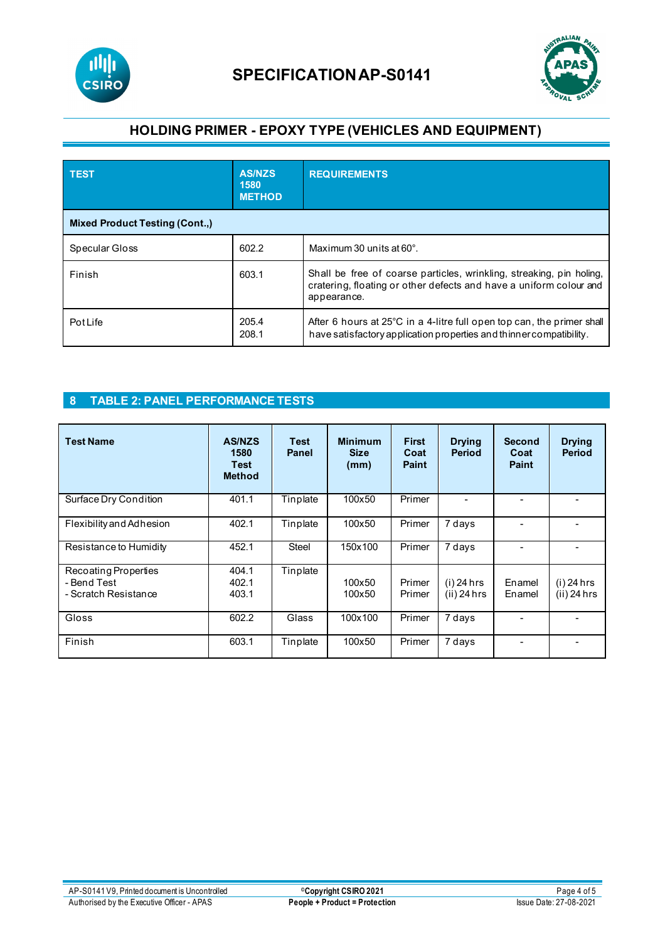



| <b>TEST</b>                           | <b>AS/NZS</b><br>1580<br><b>METHOD</b> | <b>REQUIREMENTS</b>                                                                                                                                       |  |  |  |  |
|---------------------------------------|----------------------------------------|-----------------------------------------------------------------------------------------------------------------------------------------------------------|--|--|--|--|
| <b>Mixed Product Testing (Cont.,)</b> |                                        |                                                                                                                                                           |  |  |  |  |
| Specular Gloss                        | 602.2                                  | Maximum 30 units at 60°.                                                                                                                                  |  |  |  |  |
| Finish                                | 603.1                                  | Shall be free of coarse particles, wrinkling, streaking, pin holing,<br>cratering, floating or other defects and have a uniform colour and<br>appearance. |  |  |  |  |
| <b>Pot Life</b>                       | 205.4<br>208.1                         | After 6 hours at $25^{\circ}$ C in a 4-litre full open top can, the primer shall<br>have satisfactory application properties and thinner compatibility.   |  |  |  |  |

### **8 TABLE 2: PANEL PERFORMANCE TESTS**

| <b>Test Name</b>                                            | <b>AS/NZS</b><br>1580<br><b>Test</b><br><b>Method</b> | <b>Test</b><br>Panel | <b>Minimum</b><br><b>Size</b><br>(mm) | <b>First</b><br>Coat<br><b>Paint</b> | <b>Drying</b><br><b>Period</b> | <b>Second</b><br>Coat<br>Paint | <b>Drying</b><br><b>Period</b> |
|-------------------------------------------------------------|-------------------------------------------------------|----------------------|---------------------------------------|--------------------------------------|--------------------------------|--------------------------------|--------------------------------|
| Surface Dry Condition                                       | 401.1                                                 | Tinplate             | 100x50                                | Primer                               |                                |                                |                                |
| Flexibility and Adhesion                                    | 402.1                                                 | Tinplate             | 100x50                                | Primer                               | 7 days                         |                                |                                |
| Resistance to Humidity                                      | 452.1                                                 | <b>Steel</b>         | 150x100                               | Primer                               | 7 days                         |                                |                                |
| Recoating Properties<br>- Bend Test<br>- Scratch Resistance | 404.1<br>402.1<br>403.1                               | Tinplate             | 100x50<br>100x50                      | Primer<br>Primer                     | $(i)$ 24 hrs<br>$(ii)$ 24 hrs  | Enamel<br>Enamel               | $(i)$ 24 hrs<br>$(ii)$ 24 hrs  |
| Gloss                                                       | 602.2                                                 | Glass                | 100x100                               | Primer                               | 7 days                         |                                |                                |
| Finish                                                      | 603.1                                                 | Tinplate             | 100x50                                | Primer                               | 7 days                         |                                | $\overline{\phantom{a}}$       |